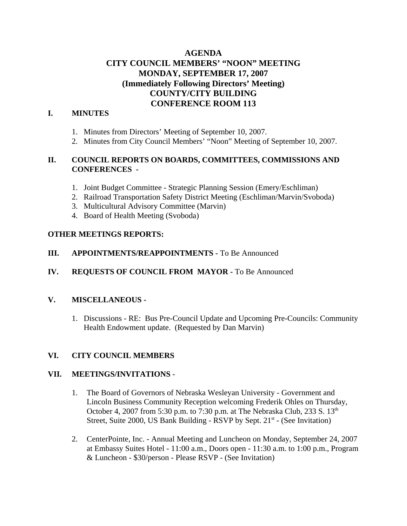# **AGENDA CITY COUNCIL MEMBERS' "NOON" MEETING MONDAY, SEPTEMBER 17, 2007 (Immediately Following Directors' Meeting) COUNTY/CITY BUILDING CONFERENCE ROOM 113**

## **I. MINUTES**

- 1. Minutes from Directors' Meeting of September 10, 2007.
- 2. Minutes from City Council Members' "Noon" Meeting of September 10, 2007.

## **II. COUNCIL REPORTS ON BOARDS, COMMITTEES, COMMISSIONS AND CONFERENCES -**

- 1. Joint Budget Committee Strategic Planning Session (Emery/Eschliman)
- 2. Railroad Transportation Safety District Meeting (Eschliman/Marvin/Svoboda)
- 3. Multicultural Advisory Committee (Marvin)
- 4. Board of Health Meeting (Svoboda)

### **OTHER MEETINGS REPORTS:**

### **III.** APPOINTMENTS/REAPPOINTMENTS - To Be Announced

## **IV. REQUESTS OF COUNCIL FROM MAYOR -** To Be Announced

### **V. MISCELLANEOUS -**

1. Discussions - RE: Bus Pre-Council Update and Upcoming Pre-Councils: Community Health Endowment update. (Requested by Dan Marvin)

#### **VI. CITY COUNCIL MEMBERS**

#### **VII. MEETINGS/INVITATIONS** -

- 1. The Board of Governors of Nebraska Wesleyan University Government and Lincoln Business Community Reception welcoming Frederik Ohles on Thursday, October 4, 2007 from 5:30 p.m. to 7:30 p.m. at The Nebraska Club, 233 S. 13<sup>th</sup> Street, Suite 2000, US Bank Building - RSVP by Sept.  $21<sup>st</sup>$  - (See Invitation)
- 2. CenterPointe, Inc. Annual Meeting and Luncheon on Monday, September 24, 2007 at Embassy Suites Hotel - 11:00 a.m., Doors open - 11:30 a.m. to 1:00 p.m., Program & Luncheon - \$30/person - Please RSVP - (See Invitation)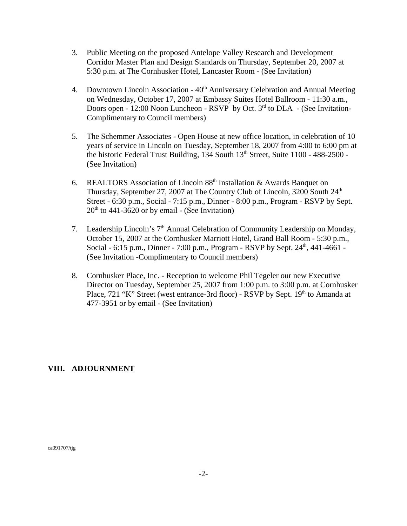- 3. Public Meeting on the proposed Antelope Valley Research and Development Corridor Master Plan and Design Standards on Thursday, September 20, 2007 at 5:30 p.m. at The Cornhusker Hotel, Lancaster Room - (See Invitation)
- 4. Downtown Lincoln Association  $40<sup>th</sup>$  Anniversary Celebration and Annual Meeting on Wednesday, October 17, 2007 at Embassy Suites Hotel Ballroom - 11:30 a.m., Doors open - 12:00 Noon Luncheon - RSVP by Oct.  $3<sup>rd</sup>$  to DLA - (See Invitation-Complimentary to Council members)
- 5. The Schemmer Associates Open House at new office location, in celebration of 10 years of service in Lincoln on Tuesday, September 18, 2007 from 4:00 to 6:00 pm at the historic Federal Trust Building,  $134$  South  $13<sup>th</sup>$  Street, Suite  $1100 - 488 - 2500 -$ (See Invitation)
- 6. REALTORS Association of Lincoln  $88<sup>th</sup>$  Installation & Awards Banquet on Thursday, September 27, 2007 at The Country Club of Lincoln, 3200 South 24<sup>th</sup> Street - 6:30 p.m., Social - 7:15 p.m., Dinner - 8:00 p.m., Program - RSVP by Sept.  $20<sup>th</sup>$  to 441-3620 or by email - (See Invitation)
- 7. Leadership Lincoln's 7th Annual Celebration of Community Leadership on Monday, October 15, 2007 at the Cornhusker Marriott Hotel, Grand Ball Room - 5:30 p.m., Social - 6:15 p.m., Dinner - 7:00 p.m., Program - RSVP by Sept.  $24<sup>th</sup>$ , 441-4661 -(See Invitation -Complimentary to Council members)
- 8. Cornhusker Place, Inc. Reception to welcome Phil Tegeler our new Executive Director on Tuesday, September 25, 2007 from 1:00 p.m. to 3:00 p.m. at Cornhusker Place, 721 "K" Street (west entrance-3rd floor) - RSVP by Sept. 19<sup>th</sup> to Amanda at 477-3951 or by email - (See Invitation)

#### **VIII. ADJOURNMENT**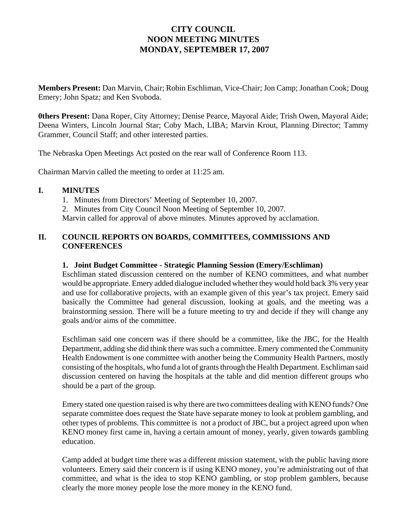# **CITY COUNCIL NOON MEETING MINUTES MONDAY, SEPTEMBER 17, 2007**

**Members Present:** Dan Marvin, Chair; Robin Eschliman, Vice-Chair; Jon Camp; Jonathan Cook; Doug Emery; John Spatz; and Ken Svoboda.

**0thers Present:** Dana Roper, City Attorney; Denise Pearce, Mayoral Aide; Trish Owen, Mayoral Aide; Deena Winters, Lincoln Journal Star; Coby Mach, LIBA; Marvin Krout, Planning Director; Tammy Grammer, Council Staff; and other interested parties.

The Nebraska Open Meetings Act posted on the rear wall of Conference Room 113.

Chairman Marvin called the meeting to order at 11:25 am.

### **I. MINUTES**

- 1. Minutes from Directors' Meeting of September 10, 2007.
- 2. Minutes from City Council Noon Meeting of September 10, 2007.

Marvin called for approval of above minutes. Minutes approved by acclamation.

## **II. COUNCIL REPORTS ON BOARDS, COMMITTEES, COMMISSIONS AND CONFERENCES**

## **1. Joint Budget Committee - Strategic Planning Session (Emery/Eschliman)**

Eschliman stated discussion centered on the number of KENO committees, and what number would be appropriate. Emery added dialogue included whether they would hold back 3% very year and use for collaborative projects, with an example given of this year's tax project. Emery said basically the Committee had general discussion, looking at goals, and the meeting was a brainstorming session. There will be a future meeting to try and decide if they will change any goals and/or aims of the committee.

Eschliman said one concern was if there should be a committee, like the JBC, for the Health Department, adding she did think there was such a committee. Emery commented the Community Health Endowment is one committee with another being the Community Health Partners, mostly consisting of the hospitals, who fund a lot of grants through the Health Department. Eschliman said discussion centered on having the hospitals at the table and did mention different groups who should be a part of the group.

Emery stated one question raised is why there are two committees dealing with KENO funds? One separate committee does request the State have separate money to look at problem gambling, and other types of problems. This committee is not a product of JBC, but a project agreed upon when KENO money first came in, having a certain amount of money, yearly, given towards gambling education.

Camp added at budget time there was a different mission statement, with the public having more volunteers. Emery said their concern is if using KENO money, you're administrating out of that committee, and what is the idea to stop KENO gambling, or stop problem gamblers, because clearly the more money people lose the more money in the KENO fund.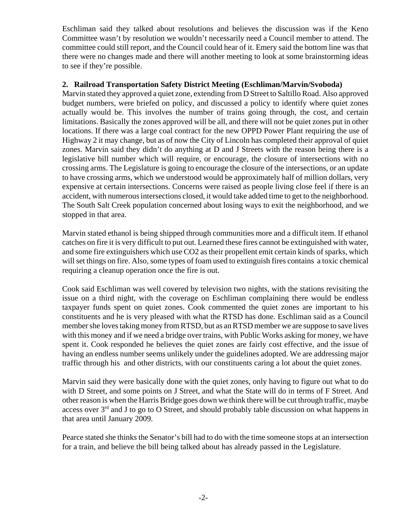Eschliman said they talked about resolutions and believes the discussion was if the Keno Committee wasn't by resolution we wouldn't necessarily need a Council member to attend. The committee could still report, and the Council could hear of it. Emery said the bottom line was that there were no changes made and there will another meeting to look at some brainstorming ideas to see if they're possible.

## **2. Railroad Transportation Safety District Meeting (Eschliman/Marvin/Svoboda)**

Marvin stated they approved a quiet zone, extending from D Street to Saltillo Road. Also approved budget numbers, were briefed on policy, and discussed a policy to identify where quiet zones actually would be. This involves the number of trains going through, the cost, and certain limitations. Basically the zones approved will be all, and there will not be quiet zones put in other locations. If there was a large coal contract for the new OPPD Power Plant requiring the use of Highway 2 it may change, but as of now the City of Lincoln has completed their approval of quiet zones. Marvin said they didn't do anything at D and J Streets with the reason being there is a legislative bill number which will require, or encourage, the closure of intersections with no crossing arms. The Legislature is going to encourage the closure of the intersections, or an update to have crossing arms, which we understood would be approximately half of million dollars, very expensive at certain intersections. Concerns were raised as people living close feel if there is an accident, with numerous intersections closed, it would take added time to get to the neighborhood. The South Salt Creek population concerned about losing ways to exit the neighborhood, and we stopped in that area.

Marvin stated ethanol is being shipped through communities more and a difficult item. If ethanol catches on fire it is very difficult to put out. Learned these fires cannot be extinguished with water, and some fire extinguishers which use CO2 as their propellent emit certain kinds of sparks, which will set things on fire. Also, some types of foam used to extinguish fires contains a toxic chemical requiring a cleanup operation once the fire is out.

Cook said Eschliman was well covered by television two nights, with the stations revisiting the issue on a third night, with the coverage on Eschliman complaining there would be endless taxpayer funds spent on quiet zones. Cook commented the quiet zones are important to his constituents and he is very pleased with what the RTSD has done. Eschliman said as a Council member she loves taking money from RTSD, but as an RTSD member we are suppose to save lives with this money and if we need a bridge over trains, with Public Works asking for money, we have spent it. Cook responded he believes the quiet zones are fairly cost effective, and the issue of having an endless number seems unlikely under the guidelines adopted. We are addressing major traffic through his and other districts, with our constituents caring a lot about the quiet zones.

Marvin said they were basically done with the quiet zones, only having to figure out what to do with D Street, and some points on J Street, and what the State will do in terms of F Street. And other reason is when the Harris Bridge goes down we think there will be cut through traffic, maybe access over  $3<sup>rd</sup>$  and J to go to O Street, and should probably table discussion on what happens in that area until January 2009.

Pearce stated she thinks the Senator's bill had to do with the time someone stops at an intersection for a train, and believe the bill being talked about has already passed in the Legislature.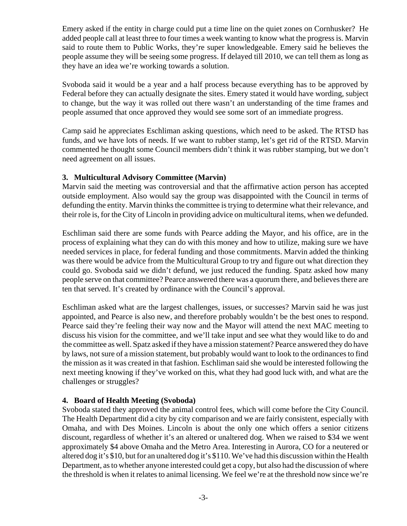Emery asked if the entity in charge could put a time line on the quiet zones on Cornhusker? He added people call at least three to four times a week wanting to know what the progress is. Marvin said to route them to Public Works, they're super knowledgeable. Emery said he believes the people assume they will be seeing some progress. If delayed till 2010, we can tell them as long as they have an idea we're working towards a solution.

Svoboda said it would be a year and a half process because everything has to be approved by Federal before they can actually designate the sites. Emery stated it would have wording, subject to change, but the way it was rolled out there wasn't an understanding of the time frames and people assumed that once approved they would see some sort of an immediate progress.

Camp said he appreciates Eschliman asking questions, which need to be asked. The RTSD has funds, and we have lots of needs. If we want to rubber stamp, let's get rid of the RTSD. Marvin commented he thought some Council members didn't think it was rubber stamping, but we don't need agreement on all issues.

### **3. Multicultural Advisory Committee (Marvin)**

Marvin said the meeting was controversial and that the affirmative action person has accepted outside employment. Also would say the group was disappointed with the Council in terms of defunding the entity. Marvin thinks the committee is trying to determine what their relevance, and their role is, for the City of Lincoln in providing advice on multicultural items, when we defunded.

Eschliman said there are some funds with Pearce adding the Mayor, and his office, are in the process of explaining what they can do with this money and how to utilize, making sure we have needed services in place, for federal funding and those commitments. Marvin added the thinking was there would be advice from the Multicultural Group to try and figure out what direction they could go. Svoboda said we didn't defund, we just reduced the funding. Spatz asked how many people serve on that committee? Pearce answered there was a quorum there, and believes there are ten that served. It's created by ordinance with the Council's approval.

Eschliman asked what are the largest challenges, issues, or successes? Marvin said he was just appointed, and Pearce is also new, and therefore probably wouldn't be the best ones to respond. Pearce said they're feeling their way now and the Mayor will attend the next MAC meeting to discuss his vision for the committee, and we'll take input and see what they would like to do and the committee as well. Spatz asked if they have a mission statement? Pearce answered they do have by laws, not sure of a mission statement, but probably would want to look to the ordinances to find the mission as it was created in that fashion. Eschliman said she would be interested following the next meeting knowing if they've worked on this, what they had good luck with, and what are the challenges or struggles?

## **4. Board of Health Meeting (Svoboda)**

Svoboda stated they approved the animal control fees, which will come before the City Council. The Health Department did a city by city comparison and we are fairly consistent, especially with Omaha, and with Des Moines. Lincoln is about the only one which offers a senior citizens discount, regardless of whether it's an altered or unaltered dog. When we raised to \$34 we went approximately \$4 above Omaha and the Metro Area. Interesting in Aurora, CO for a neutered or altered dog it's \$10, but for an unaltered dog it's \$110. We've had this discussion within the Health Department, as to whether anyone interested could get a copy, but also had the discussion of where the threshold is when it relates to animal licensing. We feel we're at the threshold now since we're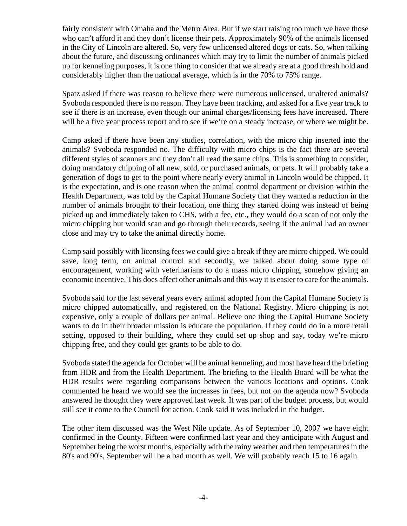fairly consistent with Omaha and the Metro Area. But if we start raising too much we have those who can't afford it and they don't license their pets. Approximately 90% of the animals licensed in the City of Lincoln are altered. So, very few unlicensed altered dogs or cats. So, when talking about the future, and discussing ordinances which may try to limit the number of animals picked up for kenneling purposes, it is one thing to consider that we already are at a good thresh hold and considerably higher than the national average, which is in the 70% to 75% range.

Spatz asked if there was reason to believe there were numerous unlicensed, unaltered animals? Svoboda responded there is no reason. They have been tracking, and asked for a five year track to see if there is an increase, even though our animal charges/licensing fees have increased. There will be a five year process report and to see if we're on a steady increase, or where we might be.

Camp asked if there have been any studies, correlation, with the micro chip inserted into the animals? Svoboda responded no. The difficulty with micro chips is the fact there are several different styles of scanners and they don't all read the same chips. This is something to consider, doing mandatory chipping of all new, sold, or purchased animals, or pets. It will probably take a generation of dogs to get to the point where nearly every animal in Lincoln would be chipped. It is the expectation, and is one reason when the animal control department or division within the Health Department, was told by the Capital Humane Society that they wanted a reduction in the number of animals brought to their location, one thing they started doing was instead of being picked up and immediately taken to CHS, with a fee, etc., they would do a scan of not only the micro chipping but would scan and go through their records, seeing if the animal had an owner close and may try to take the animal directly home.

Camp said possibly with licensing fees we could give a break if they are micro chipped. We could save, long term, on animal control and secondly, we talked about doing some type of encouragement, working with veterinarians to do a mass micro chipping, somehow giving an economic incentive. This does affect other animals and this way it is easier to care for the animals.

Svoboda said for the last several years every animal adopted from the Capital Humane Society is micro chipped automatically, and registered on the National Registry. Micro chipping is not expensive, only a couple of dollars per animal. Believe one thing the Capital Humane Society wants to do in their broader mission is educate the population. If they could do in a more retail setting, opposed to their building, where they could set up shop and say, today we're micro chipping free, and they could get grants to be able to do.

Svoboda stated the agenda for October will be animal kenneling, and most have heard the briefing from HDR and from the Health Department. The briefing to the Health Board will be what the HDR results were regarding comparisons between the various locations and options. Cook commented he heard we would see the increases in fees, but not on the agenda now? Svoboda answered he thought they were approved last week. It was part of the budget process, but would still see it come to the Council for action. Cook said it was included in the budget.

The other item discussed was the West Nile update. As of September 10, 2007 we have eight confirmed in the County. Fifteen were confirmed last year and they anticipate with August and September being the worst months, especially with the rainy weather and then temperatures in the 80's and 90's, September will be a bad month as well. We will probably reach 15 to 16 again.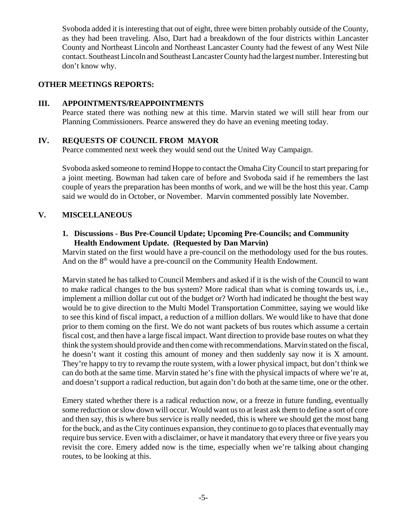Svoboda added it is interesting that out of eight, three were bitten probably outside of the County, as they had been traveling. Also, Dart had a breakdown of the four districts within Lancaster County and Northeast Lincoln and Northeast Lancaster County had the fewest of any West Nile contact. Southeast Lincoln and Southeast Lancaster County had the largest number. Interesting but don't know why.

## **OTHER MEETINGS REPORTS:**

#### **III. APPOINTMENTS/REAPPOINTMENTS**

Pearce stated there was nothing new at this time. Marvin stated we will still hear from our Planning Commissioners. Pearce answered they do have an evening meeting today.

### **IV. REQUESTS OF COUNCIL FROM MAYOR**

Pearce commented next week they would send out the United Way Campaign.

Svoboda asked someone to remind Hoppe to contact the Omaha City Council to start preparing for a joint meeting. Bowman had taken care of before and Svoboda said if he remembers the last couple of years the preparation has been months of work, and we will be the host this year. Camp said we would do in October, or November. Marvin commented possibly late November.

## **V. MISCELLANEOUS**

## **1. Discussions - Bus Pre-Council Update; Upcoming Pre-Councils; and Community Health Endowment Update. (Requested by Dan Marvin)**

Marvin stated on the first would have a pre-council on the methodology used for the bus routes. And on the 8<sup>th</sup> would have a pre-council on the Community Health Endowment.

Marvin stated he has talked to Council Members and asked if it is the wish of the Council to want to make radical changes to the bus system? More radical than what is coming towards us, i.e., implement a million dollar cut out of the budget or? Worth had indicated he thought the best way would be to give direction to the Multi Model Transportation Committee, saying we would like to see this kind of fiscal impact, a reduction of a million dollars. We would like to have that done prior to them coming on the first. We do not want packets of bus routes which assume a certain fiscal cost, and then have a large fiscal impact. Want direction to provide base routes on what they think the system should provide and then come with recommendations. Marvin stated on the fiscal, he doesn't want it costing this amount of money and then suddenly say now it is X amount. They're happy to try to revamp the route system, with a lower physical impact, but don't think we can do both at the same time. Marvin stated he's fine with the physical impacts of where we're at, and doesn't support a radical reduction, but again don't do both at the same time, one or the other.

Emery stated whether there is a radical reduction now, or a freeze in future funding, eventually some reduction or slow down will occur. Would want us to at least ask them to define a sort of core and then say, this is where bus service is really needed, this is where we should get the most bang for the buck, and as the City continues expansion, they continue to go to places that eventually may require bus service. Even with a disclaimer, or have it mandatory that every three or five years you revisit the core. Emery added now is the time, especially when we're talking about changing routes, to be looking at this.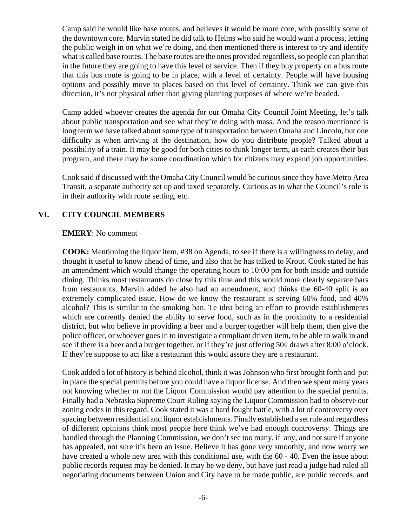Camp said he would like base routes, and believes it would be more core, with possibly some of the downtown core. Marvin stated he did talk to Helms who said he would want a process, letting the public weigh in on what we're doing, and then mentioned there is interest to try and identify what is called base routes. The base routes are the ones provided regardless, so people can plan that in the future they are going to have this level of service. Then if they buy property on a bus route that this bus route is going to be in place, with a level of certainty. People will have housing options and possibly move to places based on this level of certainty. Think we can give this direction, it's not physical other than giving planning purposes of where we're headed.

Camp added whoever creates the agenda for our Omaha City Council Joint Meeting, let's talk about public transportation and see what they're doing with mass. And the reason mentioned is long term we have talked about some type of transportation between Omaha and Lincoln, but one difficulty is when arriving at the destination, how do you distribute people? Talked about a possibility of a train. It may be good for both cities to think longer term, as each creates their bus program, and there may be some coordination which for citizens may expand job opportunities.

Cook said if discussed with the Omaha City Council would be curious since they have Metro Area Transit, a separate authority set up and taxed separately. Curious as to what the Council's role is in their authority with route setting, etc.

## **VI. CITY COUNCIL MEMBERS**

### **EMERY**: No comment

**COOK:** Mentioning the liquor item, #38 on Agenda, to see if there is a willingness to delay, and thought it useful to know ahead of time, and also that he has talked to Krout. Cook stated he has an amendment which would change the operating hours to 10:00 pm for both inside and outside dining. Thinks most restaurants do close by this time and this would more clearly separate bars from restaurants. Marvin added he also had an amendment, and thinks the 60-40 split is an extremely complicated issue. How do we know the restaurant is serving 60% food, and 40% alcohol? This is similar to the smoking ban. Te idea being an effort to provide establishments which are currently denied the ability to serve food, such as in the proximity to a residential district, but who believe in providing a beer and a burger together will help them, then give the police officer, or whoever goes in to investigate a compliant driven item, to be able to walk in and see if there is a beer and a burger together, or if they're just offering 50¢ draws after 8:00 o'clock. If they're suppose to act like a restaurant this would assure they are a restaurant.

Cook added a lot of history is behind alcohol, think it was Johnson who first brought forth and put in place the special permits before you could have a liquor license. And then we spent many years not knowing whether or not the Liquor Commission would pay attention to the special permits. Finally had a Nebraska Supreme Court Ruling saying the Liquor Commission had to observe our zoning codes in this regard. Cook stated it was a hard fought battle, with a lot of controversy over spacing between residential and liquor establishments. Finally established a set rule and regardless of different opinions think most people here think we've had enough controversy. Things are handled through the Planning Commission, we don't see too many, if any, and not sure if anyone has appealed, not sure it's been an issue. Believe it has gone very smoothly, and now worry we have created a whole new area with this conditional use, with the 60 - 40. Even the issue about public records request may be denied. It may be we deny, but have just read a judge had ruled all negotiating documents between Union and City have to be made public, are public records, and